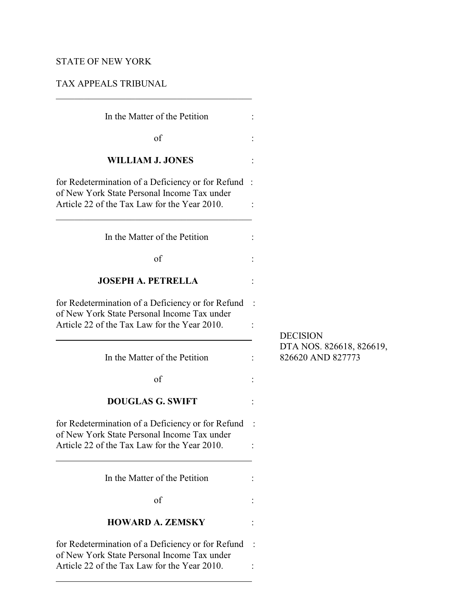# STATE OF NEW YORK

 $\overline{a}$ 

## TAX APPEALS TRIBUNAL

 $\mathcal{L}_\mathcal{L}$  , which is a set of the set of the set of the set of the set of the set of the set of the set of the set of the set of the set of the set of the set of the set of the set of the set of the set of the set of

| In the Matter of the Petition                                                                                                                     |                                               |
|---------------------------------------------------------------------------------------------------------------------------------------------------|-----------------------------------------------|
| of                                                                                                                                                |                                               |
| <b>WILLIAM J. JONES</b>                                                                                                                           |                                               |
| for Redetermination of a Deficiency or for Refund:<br>of New York State Personal Income Tax under<br>Article 22 of the Tax Law for the Year 2010. |                                               |
| In the Matter of the Petition                                                                                                                     |                                               |
| of                                                                                                                                                |                                               |
| <b>JOSEPH A. PETRELLA</b>                                                                                                                         |                                               |
| for Redetermination of a Deficiency or for Refund<br>of New York State Personal Income Tax under<br>Article 22 of the Tax Law for the Year 2010.  | <b>DECISION</b>                               |
| In the Matter of the Petition                                                                                                                     | DTA NOS. 826618, 826619,<br>826620 AND 827773 |
| of                                                                                                                                                |                                               |
| <b>DOUGLAS G. SWIFT</b>                                                                                                                           |                                               |
| for Redetermination of a Deficiency or for Refund<br>of New York State Personal Income Tax under<br>Article 22 of the Tax Law for the Year 2010.  |                                               |
| In the Matter of the Petition                                                                                                                     |                                               |
| of                                                                                                                                                |                                               |
| <b>HOWARD A. ZEMSKY</b>                                                                                                                           |                                               |
| for Redetermination of a Deficiency or for Refund<br>of New York State Personal Income Tax under<br>Article 22 of the Tax Law for the Year 2010.  |                                               |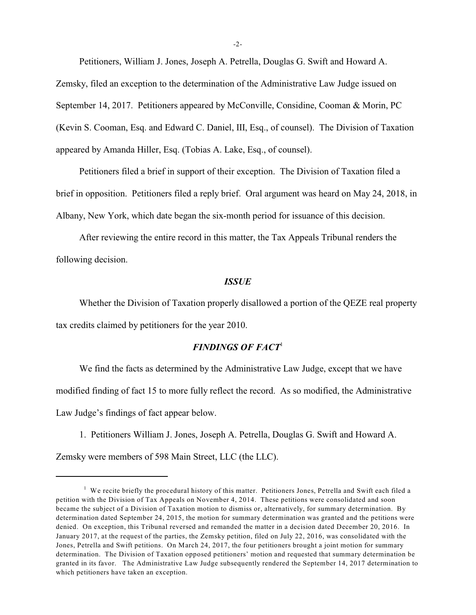Petitioners, William J. Jones, Joseph A. Petrella, Douglas G. Swift and Howard A. Zemsky, filed an exception to the determination of the Administrative Law Judge issued on September 14, 2017. Petitioners appeared by McConville, Considine, Cooman & Morin, PC (Kevin S. Cooman, Esq. and Edward C. Daniel, III, Esq., of counsel). The Division of Taxation appeared by Amanda Hiller, Esq. (Tobias A. Lake, Esq., of counsel).

Petitioners filed a brief in support of their exception. The Division of Taxation filed a brief in opposition. Petitioners filed a reply brief. Oral argument was heard on May 24, 2018, in Albany, New York, which date began the six-month period for issuance of this decision.

After reviewing the entire record in this matter, the Tax Appeals Tribunal renders the following decision.

#### *ISSUE*

Whether the Division of Taxation properly disallowed a portion of the QEZE real property tax credits claimed by petitioners for the year 2010.

#### *FINDINGS OF FACT*<sup>1</sup>

We find the facts as determined by the Administrative Law Judge, except that we have modified finding of fact 15 to more fully reflect the record. As so modified, the Administrative Law Judge's findings of fact appear below.

1. Petitioners William J. Jones, Joseph A. Petrella, Douglas G. Swift and Howard A.

Zemsky were members of 598 Main Street, LLC (the LLC).

<sup>&</sup>lt;sup>1</sup> We recite briefly the procedural history of this matter. Petitioners Jones, Petrella and Swift each filed a petition with the Division of Tax Appeals on November 4, 2014. These petitions were consolidated and soon became the subject of a Division of Taxation motion to dismiss or, alternatively, for summary determination. By determination dated September 24, 2015, the motion for summary determination was granted and the petitions were denied. On exception, this Tribunal reversed and remanded the matter in a decision dated December 20, 2016. In January 2017, at the request of the parties, the Zemsky petition, filed on July 22, 2016, was consolidated with the Jones, Petrella and Swift petitions. On March 24, 2017, the four petitioners brought a joint motion for summary determination. The Division of Taxation opposed petitioners' motion and requested that summary determination be granted in its favor. The Administrative Law Judge subsequently rendered the September 14, 2017 determination to which petitioners have taken an exception.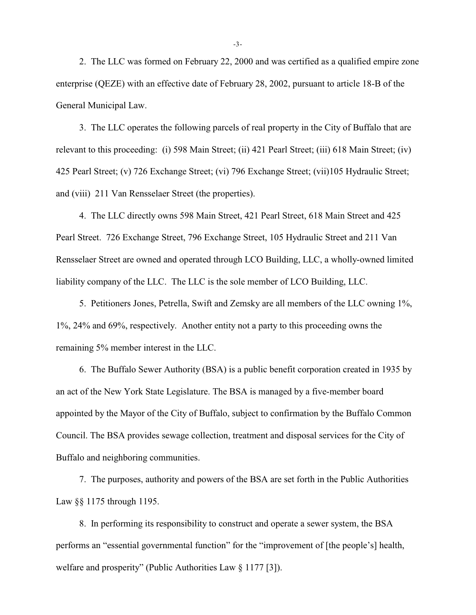2. The LLC was formed on February 22, 2000 and was certified as a qualified empire zone enterprise (QEZE) with an effective date of February 28, 2002, pursuant to article 18-B of the General Municipal Law.

3. The LLC operates the following parcels of real property in the City of Buffalo that are relevant to this proceeding: (i) 598 Main Street; (ii) 421 Pearl Street; (iii) 618 Main Street; (iv) 425 Pearl Street; (v) 726 Exchange Street; (vi) 796 Exchange Street; (vii)105 Hydraulic Street; and (viii) 211 Van Rensselaer Street (the properties).

4. The LLC directly owns 598 Main Street, 421 Pearl Street, 618 Main Street and 425 Pearl Street. 726 Exchange Street, 796 Exchange Street, 105 Hydraulic Street and 211 Van Rensselaer Street are owned and operated through LCO Building, LLC, a wholly-owned limited liability company of the LLC. The LLC is the sole member of LCO Building, LLC.

5. Petitioners Jones, Petrella, Swift and Zemsky are all members of the LLC owning 1%, 1%, 24% and 69%, respectively. Another entity not a party to this proceeding owns the remaining 5% member interest in the LLC.

6. The Buffalo Sewer Authority (BSA) is a public benefit corporation created in 1935 by an act of the New York State Legislature. The BSA is managed by a five-member board appointed by the Mayor of the City of Buffalo, subject to confirmation by the Buffalo Common Council. The BSA provides sewage collection, treatment and disposal services for the City of Buffalo and neighboring communities.

7. The purposes, authority and powers of the BSA are set forth in the Public Authorities Law §§ 1175 through 1195.

8. In performing its responsibility to construct and operate a sewer system, the BSA performs an "essential governmental function" for the "improvement of [the people's] health, welfare and prosperity" (Public Authorities Law § 1177 [3]).

-3-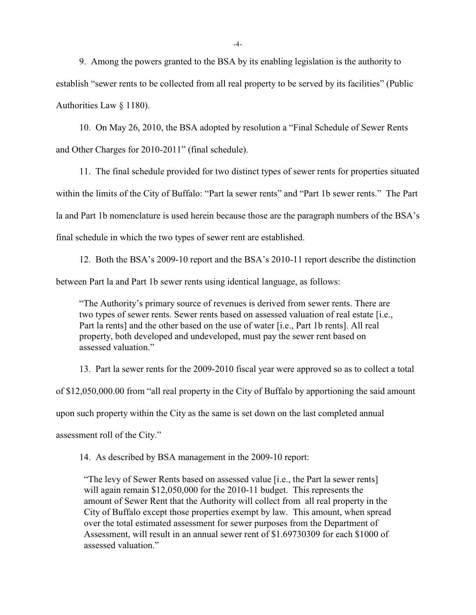9. Among the powers granted to the BSA by its enabling legislation is the authority to establish "sewer rents to be collected from all real property to be served by its facilities" (Public Authorities Law § 1180).

10. On May 26, 2010, the BSA adopted by resolution a "Final Schedule of Sewer Rents and Other Charges for 2010-2011" (final schedule).

11. The final schedule provided for two distinct types of sewer rents for properties situated within the limits of the City of Buffalo: "Part la sewer rents" and "Part 1b sewer rents." The Part la and Part 1b nomenclature is used herein because those are the paragraph numbers of the BSA's final schedule in which the two types of sewer rent are established.

12. Both the BSA's 2009-10 report and the BSA's 2010-11 report describe the distinction between Part la and Part 1b sewer rents using identical language, as follows:

"The Authority's primary source of revenues is derived from sewer rents. There are two types of sewer rents. Sewer rents based on assessed valuation of real estate [i.e., Part la rents] and the other based on the use of water [i.e., Part 1b rents]. All real property, both developed and undeveloped, must pay the sewer rent based on assessed valuation."

13. Part la sewer rents for the 2009-2010 fiscal year were approved so as to collect a total of \$12,050,000.00 from "all real property in the City of Buffalo by apportioning the said amount upon such property within the City as the same is set down on the last completed annual assessment roll of the City."

14. As described by BSA management in the 2009-10 report:

"The levy of Sewer Rents based on assessed value [i.e., the Part la sewer rents] will again remain \$12,050,000 for the 2010-11 budget. This represents the amount of Sewer Rent that the Authority will collect from all real property in the City of Buffalo except those properties exempt by law. This amount, when spread over the total estimated assessment for sewer purposes from the Department of Assessment, will result in an annual sewer rent of \$1.69730309 for each \$1000 of assessed valuation."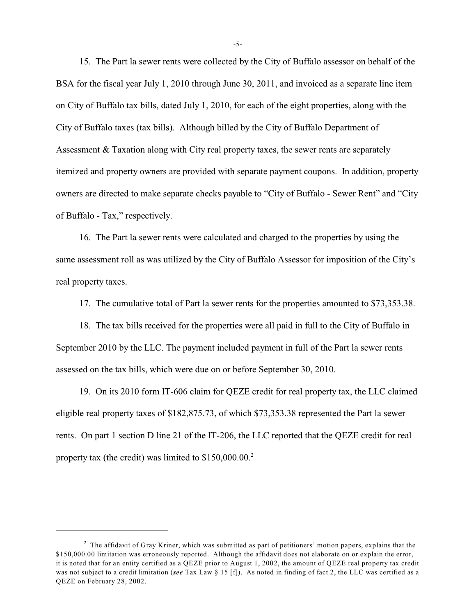15. The Part la sewer rents were collected by the City of Buffalo assessor on behalf of the BSA for the fiscal year July 1, 2010 through June 30, 2011, and invoiced as a separate line item on City of Buffalo tax bills, dated July 1, 2010, for each of the eight properties, along with the City of Buffalo taxes (tax bills). Although billed by the City of Buffalo Department of Assessment & Taxation along with City real property taxes, the sewer rents are separately itemized and property owners are provided with separate payment coupons. In addition, property owners are directed to make separate checks payable to "City of Buffalo - Sewer Rent" and "City of Buffalo - Tax," respectively.

16. The Part la sewer rents were calculated and charged to the properties by using the same assessment roll as was utilized by the City of Buffalo Assessor for imposition of the City's real property taxes.

17. The cumulative total of Part la sewer rents for the properties amounted to \$73,353.38.

18. The tax bills received for the properties were all paid in full to the City of Buffalo in September 2010 by the LLC. The payment included payment in full of the Part la sewer rents assessed on the tax bills, which were due on or before September 30, 2010.

19. On its 2010 form IT-606 claim for QEZE credit for real property tax, the LLC claimed eligible real property taxes of \$182,875.73, of which \$73,353.38 represented the Part la sewer rents. On part 1 section D line 21 of the IT-206, the LLC reported that the QEZE credit for real property tax (the credit) was limited to \$150,000.00.<sup>2</sup>

-5-

 $<sup>2</sup>$  The affidavit of Gray Kriner, which was submitted as part of petitioners' motion papers, explains that the</sup> \$150,000.00 limitation was erroneously reported. Although the affidavit does not elaborate on or explain the error, it is noted that for an entity certified as a QEZE prior to August 1, 2002, the amount of QEZE real property tax credit was not subject to a credit limitation (*see* Tax Law § 15 [f]). As noted in finding of fact 2, the LLC was certified as a QEZE on February 28, 2002.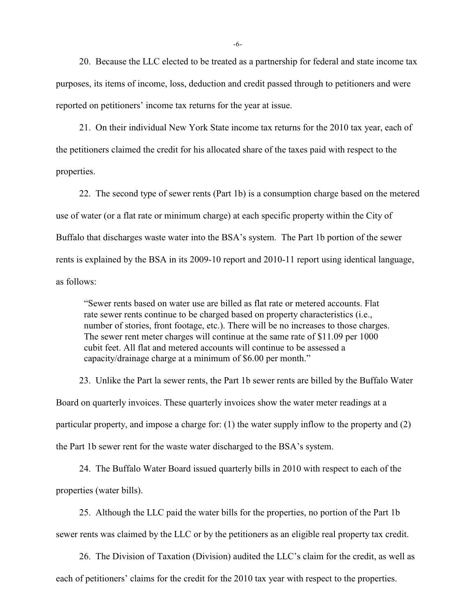20. Because the LLC elected to be treated as a partnership for federal and state income tax purposes, its items of income, loss, deduction and credit passed through to petitioners and were reported on petitioners' income tax returns for the year at issue.

21. On their individual New York State income tax returns for the 2010 tax year, each of the petitioners claimed the credit for his allocated share of the taxes paid with respect to the properties.

22. The second type of sewer rents (Part 1b) is a consumption charge based on the metered use of water (or a flat rate or minimum charge) at each specific property within the City of Buffalo that discharges waste water into the BSA's system. The Part 1b portion of the sewer rents is explained by the BSA in its 2009-10 report and 2010-11 report using identical language, as follows:

"Sewer rents based on water use are billed as flat rate or metered accounts. Flat rate sewer rents continue to be charged based on property characteristics (i.e., number of stories, front footage, etc.). There will be no increases to those charges. The sewer rent meter charges will continue at the same rate of \$11.09 per 1000 cubit feet. All flat and metered accounts will continue to be assessed a capacity/drainage charge at a minimum of \$6.00 per month."

23. Unlike the Part la sewer rents, the Part 1b sewer rents are billed by the Buffalo Water Board on quarterly invoices. These quarterly invoices show the water meter readings at a particular property, and impose a charge for: (1) the water supply inflow to the property and (2) the Part 1b sewer rent for the waste water discharged to the BSA's system.

24. The Buffalo Water Board issued quarterly bills in 2010 with respect to each of the properties (water bills).

25. Although the LLC paid the water bills for the properties, no portion of the Part 1b sewer rents was claimed by the LLC or by the petitioners as an eligible real property tax credit.

26. The Division of Taxation (Division) audited the LLC's claim for the credit, as well as each of petitioners' claims for the credit for the 2010 tax year with respect to the properties.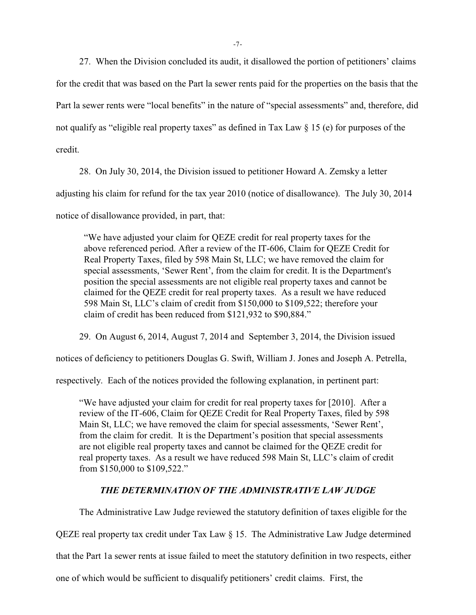27. When the Division concluded its audit, it disallowed the portion of petitioners' claims for the credit that was based on the Part la sewer rents paid for the properties on the basis that the Part la sewer rents were "local benefits" in the nature of "special assessments" and, therefore, did not qualify as "eligible real property taxes" as defined in Tax Law § 15 (e) for purposes of the credit.

28. On July 30, 2014, the Division issued to petitioner Howard A. Zemsky a letter adjusting his claim for refund for the tax year 2010 (notice of disallowance). The July 30, 2014 notice of disallowance provided, in part, that:

"We have adjusted your claim for QEZE credit for real property taxes for the above referenced period. After a review of the IT-606, Claim for QEZE Credit for Real Property Taxes, filed by 598 Main St, LLC; we have removed the claim for special assessments, 'Sewer Rent', from the claim for credit. It is the Department's position the special assessments are not eligible real property taxes and cannot be claimed for the QEZE credit for real property taxes. As a result we have reduced 598 Main St, LLC's claim of credit from \$150,000 to \$109,522; therefore your claim of credit has been reduced from \$121,932 to \$90,884."

29. On August 6, 2014, August 7, 2014 and September 3, 2014, the Division issued

notices of deficiency to petitioners Douglas G. Swift, William J. Jones and Joseph A. Petrella,

respectively. Each of the notices provided the following explanation, in pertinent part:

"We have adjusted your claim for credit for real property taxes for [2010]. After a review of the IT-606, Claim for QEZE Credit for Real Property Taxes, filed by 598 Main St, LLC; we have removed the claim for special assessments, 'Sewer Rent', from the claim for credit. It is the Department's position that special assessments are not eligible real property taxes and cannot be claimed for the QEZE credit for real property taxes. As a result we have reduced 598 Main St, LLC's claim of credit from \$150,000 to \$109,522."

### *THE DETERMINATION OF THE ADMINISTRATIVE LAW JUDGE*

The Administrative Law Judge reviewed the statutory definition of taxes eligible for the QEZE real property tax credit under Tax Law § 15. The Administrative Law Judge determined

that the Part 1a sewer rents at issue failed to meet the statutory definition in two respects, either

one of which would be sufficient to disqualify petitioners' credit claims. First, the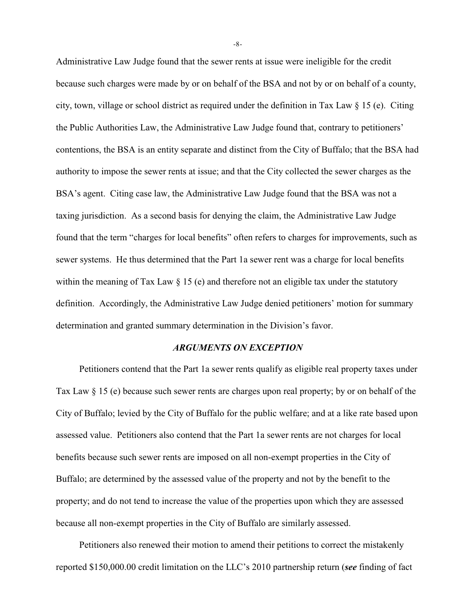Administrative Law Judge found that the sewer rents at issue were ineligible for the credit because such charges were made by or on behalf of the BSA and not by or on behalf of a county, city, town, village or school district as required under the definition in Tax Law  $\S 15$  (e). Citing the Public Authorities Law, the Administrative Law Judge found that, contrary to petitioners' contentions, the BSA is an entity separate and distinct from the City of Buffalo; that the BSA had authority to impose the sewer rents at issue; and that the City collected the sewer charges as the BSA's agent. Citing case law, the Administrative Law Judge found that the BSA was not a taxing jurisdiction. As a second basis for denying the claim, the Administrative Law Judge found that the term "charges for local benefits" often refers to charges for improvements, such as sewer systems. He thus determined that the Part 1a sewer rent was a charge for local benefits within the meaning of Tax Law § 15 (e) and therefore not an eligible tax under the statutory definition. Accordingly, the Administrative Law Judge denied petitioners' motion for summary determination and granted summary determination in the Division's favor.

#### *ARGUMENTS ON EXCEPTION*

Petitioners contend that the Part 1a sewer rents qualify as eligible real property taxes under Tax Law § 15 (e) because such sewer rents are charges upon real property; by or on behalf of the City of Buffalo; levied by the City of Buffalo for the public welfare; and at a like rate based upon assessed value. Petitioners also contend that the Part 1a sewer rents are not charges for local benefits because such sewer rents are imposed on all non-exempt properties in the City of Buffalo; are determined by the assessed value of the property and not by the benefit to the property; and do not tend to increase the value of the properties upon which they are assessed because all non-exempt properties in the City of Buffalo are similarly assessed.

Petitioners also renewed their motion to amend their petitions to correct the mistakenly reported \$150,000.00 credit limitation on the LLC's 2010 partnership return (*see* finding of fact

-8-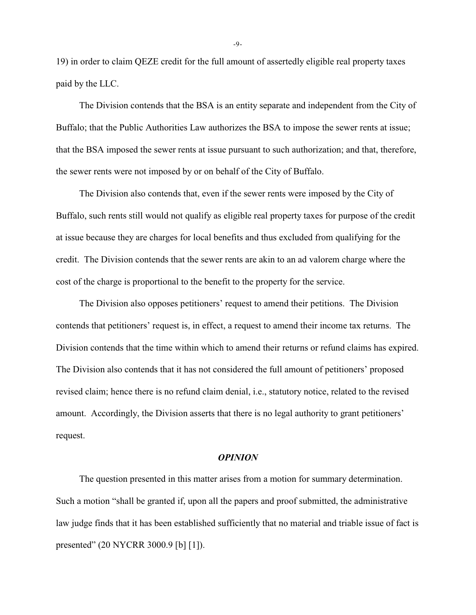19) in order to claim QEZE credit for the full amount of assertedly eligible real property taxes paid by the LLC.

The Division contends that the BSA is an entity separate and independent from the City of Buffalo; that the Public Authorities Law authorizes the BSA to impose the sewer rents at issue; that the BSA imposed the sewer rents at issue pursuant to such authorization; and that, therefore, the sewer rents were not imposed by or on behalf of the City of Buffalo.

The Division also contends that, even if the sewer rents were imposed by the City of Buffalo, such rents still would not qualify as eligible real property taxes for purpose of the credit at issue because they are charges for local benefits and thus excluded from qualifying for the credit. The Division contends that the sewer rents are akin to an ad valorem charge where the cost of the charge is proportional to the benefit to the property for the service.

The Division also opposes petitioners' request to amend their petitions. The Division contends that petitioners' request is, in effect, a request to amend their income tax returns. The Division contends that the time within which to amend their returns or refund claims has expired. The Division also contends that it has not considered the full amount of petitioners' proposed revised claim; hence there is no refund claim denial, i.e., statutory notice, related to the revised amount. Accordingly, the Division asserts that there is no legal authority to grant petitioners' request.

#### *OPINION*

The question presented in this matter arises from a motion for summary determination. Such a motion "shall be granted if, upon all the papers and proof submitted, the administrative law judge finds that it has been established sufficiently that no material and triable issue of fact is presented" (20 NYCRR 3000.9 [b] [1]).

-9-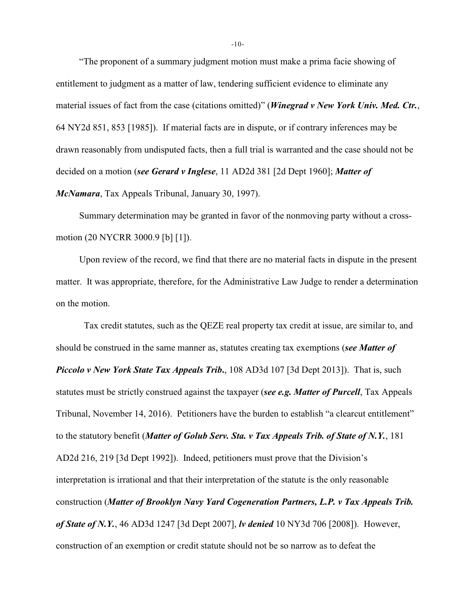"The proponent of a summary judgment motion must make a prima facie showing of entitlement to judgment as a matter of law, tendering sufficient evidence to eliminate any material issues of fact from the case (citations omitted)" (*Winegrad v New York Univ. Med. Ctr.*, 64 NY2d 851, 853 [1985]). If material facts are in dispute, or if contrary inferences may be drawn reasonably from undisputed facts, then a full trial is warranted and the case should not be decided on a motion (*see Gerard v Inglese*, 11 AD2d 381 [2d Dept 1960]; *Matter of McNamara*, Tax Appeals Tribunal, January 30, 1997).

Summary determination may be granted in favor of the nonmoving party without a crossmotion (20 NYCRR 3000.9 [b] [1]).

Upon review of the record, we find that there are no material facts in dispute in the present matter. It was appropriate, therefore, for the Administrative Law Judge to render a determination on the motion.

 Tax credit statutes, such as the QEZE real property tax credit at issue, are similar to, and should be construed in the same manner as, statutes creating tax exemptions (*see Matter of Piccolo v New York State Tax Appeals Trib***.**, 108 AD3d 107 [3d Dept 2013]). That is, such statutes must be strictly construed against the taxpayer (*see e.g. Matter of Purcell*, Tax Appeals Tribunal, November 14, 2016). Petitioners have the burden to establish "a clearcut entitlement" to the statutory benefit (*Matter of Golub Serv. Sta. v Tax Appeals Trib. of State of N.Y.*, 181 AD2d 216, 219 [3d Dept 1992]). Indeed, petitioners must prove that the Division's interpretation is irrational and that their interpretation of the statute is the only reasonable construction (*Matter of Brooklyn Navy Yard Cogeneration Partners, L.P. v Tax Appeals Trib. of State of N.Y.*, 46 AD3d 1247 [3d Dept 2007], *lv denied* 10 NY3d 706 [2008]). However, construction of an exemption or credit statute should not be so narrow as to defeat the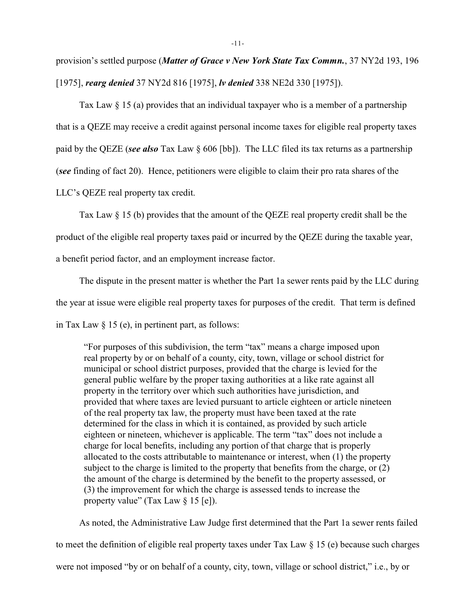provision's settled purpose (*Matter of Grace v New York State Tax Commn.*, 37 NY2d 193, 196 [1975], *rearg denied* 37 NY2d 816 [1975], *lv denied* 338 NE2d 330 [1975]).

Tax Law § 15 (a) provides that an individual taxpayer who is a member of a partnership that is a QEZE may receive a credit against personal income taxes for eligible real property taxes paid by the QEZE (*see also* Tax Law § 606 [bb]). The LLC filed its tax returns as a partnership (*see* finding of fact 20). Hence, petitioners were eligible to claim their pro rata shares of the LLC's QEZE real property tax credit.

Tax Law § 15 (b) provides that the amount of the QEZE real property credit shall be the

product of the eligible real property taxes paid or incurred by the QEZE during the taxable year,

a benefit period factor, and an employment increase factor.

The dispute in the present matter is whether the Part 1a sewer rents paid by the LLC during the year at issue were eligible real property taxes for purposes of the credit. That term is defined in Tax Law  $\S$  15 (e), in pertinent part, as follows:

"For purposes of this subdivision, the term "tax" means a charge imposed upon real property by or on behalf of a county, city, town, village or school district for municipal or school district purposes, provided that the charge is levied for the general public welfare by the proper taxing authorities at a like rate against all property in the territory over which such authorities have jurisdiction, and provided that where taxes are levied pursuant to article eighteen or article nineteen of the real property tax law, the property must have been taxed at the rate determined for the class in which it is contained, as provided by such article eighteen or nineteen, whichever is applicable. The term "tax" does not include a charge for local benefits, including any portion of that charge that is properly allocated to the costs attributable to maintenance or interest, when (1) the property subject to the charge is limited to the property that benefits from the charge, or (2) the amount of the charge is determined by the benefit to the property assessed, or (3) the improvement for which the charge is assessed tends to increase the property value" (Tax Law  $\S 15$  [e]).

As noted, the Administrative Law Judge first determined that the Part 1a sewer rents failed to meet the definition of eligible real property taxes under Tax Law § 15 (e) because such charges were not imposed "by or on behalf of a county, city, town, village or school district," i.e., by or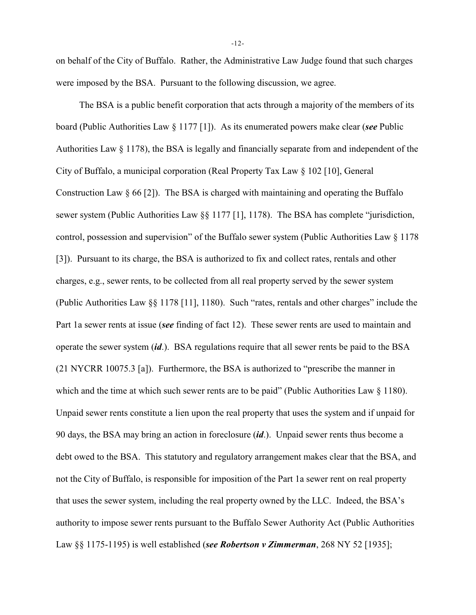on behalf of the City of Buffalo. Rather, the Administrative Law Judge found that such charges were imposed by the BSA. Pursuant to the following discussion, we agree.

The BSA is a public benefit corporation that acts through a majority of the members of its board (Public Authorities Law § 1177 [1]). As its enumerated powers make clear (*see* Public Authorities Law § 1178), the BSA is legally and financially separate from and independent of the City of Buffalo, a municipal corporation (Real Property Tax Law § 102 [10], General Construction Law  $\S 66$  [2]). The BSA is charged with maintaining and operating the Buffalo sewer system (Public Authorities Law §§ 1177 [1], 1178). The BSA has complete "jurisdiction, control, possession and supervision" of the Buffalo sewer system (Public Authorities Law § 1178 [3]). Pursuant to its charge, the BSA is authorized to fix and collect rates, rentals and other charges, e.g., sewer rents, to be collected from all real property served by the sewer system (Public Authorities Law §§ 1178 [11], 1180). Such "rates, rentals and other charges" include the Part 1a sewer rents at issue (*see* finding of fact 12). These sewer rents are used to maintain and operate the sewer system (*id*.). BSA regulations require that all sewer rents be paid to the BSA (21 NYCRR 10075.3 [a]). Furthermore, the BSA is authorized to "prescribe the manner in which and the time at which such sewer rents are to be paid" (Public Authorities Law § 1180). Unpaid sewer rents constitute a lien upon the real property that uses the system and if unpaid for 90 days, the BSA may bring an action in foreclosure (*id*.). Unpaid sewer rents thus become a debt owed to the BSA. This statutory and regulatory arrangement makes clear that the BSA, and not the City of Buffalo, is responsible for imposition of the Part 1a sewer rent on real property that uses the sewer system, including the real property owned by the LLC. Indeed, the BSA's authority to impose sewer rents pursuant to the Buffalo Sewer Authority Act (Public Authorities Law §§ 1175-1195) is well established (*see Robertson v Zimmerman*, 268 NY 52 [1935];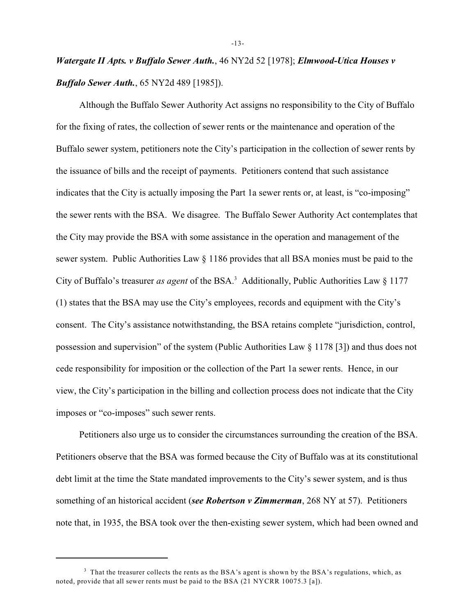*Watergate II Apts. v Buffalo Sewer Auth.*, 46 NY2d 52 [1978]; *Elmwood-Utica Houses v Buffalo Sewer Auth.*, 65 NY2d 489 [1985]).

Although the Buffalo Sewer Authority Act assigns no responsibility to the City of Buffalo for the fixing of rates, the collection of sewer rents or the maintenance and operation of the Buffalo sewer system, petitioners note the City's participation in the collection of sewer rents by the issuance of bills and the receipt of payments. Petitioners contend that such assistance indicates that the City is actually imposing the Part 1a sewer rents or, at least, is "co-imposing" the sewer rents with the BSA. We disagree. The Buffalo Sewer Authority Act contemplates that the City may provide the BSA with some assistance in the operation and management of the sewer system. Public Authorities Law § 1186 provides that all BSA monies must be paid to the City of Buffalo's treasurer *as agent* of the BSA.<sup>3</sup> Additionally, Public Authorities Law  $\S 1177$ (1) states that the BSA may use the City's employees, records and equipment with the City's consent. The City's assistance notwithstanding, the BSA retains complete "jurisdiction, control, possession and supervision" of the system (Public Authorities Law § 1178 [3]) and thus does not cede responsibility for imposition or the collection of the Part 1a sewer rents. Hence, in our view, the City's participation in the billing and collection process does not indicate that the City imposes or "co-imposes" such sewer rents.

Petitioners also urge us to consider the circumstances surrounding the creation of the BSA. Petitioners observe that the BSA was formed because the City of Buffalo was at its constitutional debt limit at the time the State mandated improvements to the City's sewer system, and is thus something of an historical accident (*see Robertson v Zimmerman*, 268 NY at 57). Petitioners note that, in 1935, the BSA took over the then-existing sewer system, which had been owned and

-13-

<sup>&</sup>lt;sup>3</sup> That the treasurer collects the rents as the BSA's agent is shown by the BSA's regulations, which, as noted, provide that all sewer rents must be paid to the BSA (21 NYCRR 10075.3 [a]).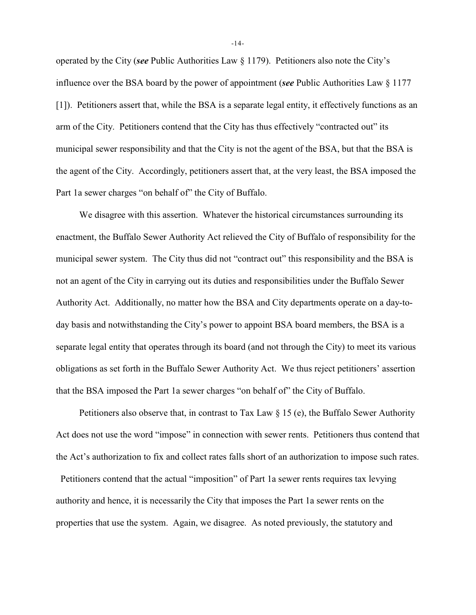operated by the City (*see* Public Authorities Law § 1179). Petitioners also note the City's influence over the BSA board by the power of appointment (*see* Public Authorities Law § 1177 [1]). Petitioners assert that, while the BSA is a separate legal entity, it effectively functions as an arm of the City. Petitioners contend that the City has thus effectively "contracted out" its municipal sewer responsibility and that the City is not the agent of the BSA, but that the BSA is the agent of the City. Accordingly, petitioners assert that, at the very least, the BSA imposed the Part 1a sewer charges "on behalf of" the City of Buffalo.

We disagree with this assertion. Whatever the historical circumstances surrounding its enactment, the Buffalo Sewer Authority Act relieved the City of Buffalo of responsibility for the municipal sewer system. The City thus did not "contract out" this responsibility and the BSA is not an agent of the City in carrying out its duties and responsibilities under the Buffalo Sewer Authority Act. Additionally, no matter how the BSA and City departments operate on a day-today basis and notwithstanding the City's power to appoint BSA board members, the BSA is a separate legal entity that operates through its board (and not through the City) to meet its various obligations as set forth in the Buffalo Sewer Authority Act. We thus reject petitioners' assertion that the BSA imposed the Part 1a sewer charges "on behalf of" the City of Buffalo.

Petitioners also observe that, in contrast to Tax Law  $\S$  15 (e), the Buffalo Sewer Authority Act does not use the word "impose" in connection with sewer rents. Petitioners thus contend that the Act's authorization to fix and collect rates falls short of an authorization to impose such rates.

 Petitioners contend that the actual "imposition" of Part 1a sewer rents requires tax levying authority and hence, it is necessarily the City that imposes the Part 1a sewer rents on the properties that use the system. Again, we disagree. As noted previously, the statutory and

-14-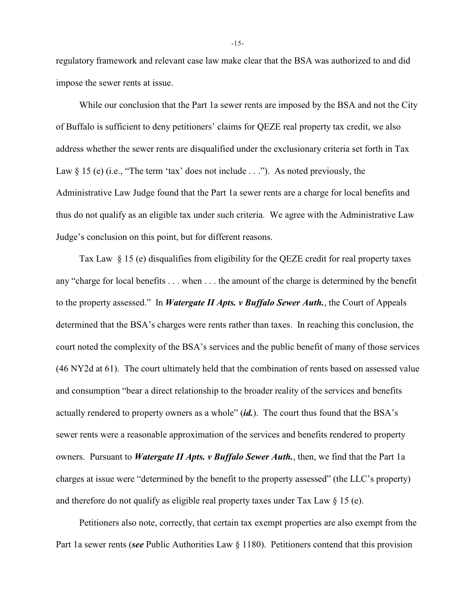regulatory framework and relevant case law make clear that the BSA was authorized to and did impose the sewer rents at issue.

While our conclusion that the Part 1a sewer rents are imposed by the BSA and not the City of Buffalo is sufficient to deny petitioners' claims for QEZE real property tax credit, we also address whether the sewer rents are disqualified under the exclusionary criteria set forth in Tax Law  $\S$  15 (e) (i.e., "The term 'tax' does not include . . ."). As noted previously, the Administrative Law Judge found that the Part 1a sewer rents are a charge for local benefits and thus do not qualify as an eligible tax under such criteria. We agree with the Administrative Law Judge's conclusion on this point, but for different reasons.

Tax Law § 15 (e) disqualifies from eligibility for the QEZE credit for real property taxes any "charge for local benefits . . . when . . . the amount of the charge is determined by the benefit to the property assessed." In *Watergate II Apts. v Buffalo Sewer Auth.*, the Court of Appeals determined that the BSA's charges were rents rather than taxes. In reaching this conclusion, the court noted the complexity of the BSA's services and the public benefit of many of those services (46 NY2d at 61). The court ultimately held that the combination of rents based on assessed value and consumption "bear a direct relationship to the broader reality of the services and benefits actually rendered to property owners as a whole" (*id.*). The court thus found that the BSA's sewer rents were a reasonable approximation of the services and benefits rendered to property owners. Pursuant to *Watergate II Apts. v Buffalo Sewer Auth.*, then, we find that the Part 1a charges at issue were "determined by the benefit to the property assessed" (the LLC's property) and therefore do not qualify as eligible real property taxes under Tax Law  $\S$  15 (e).

Petitioners also note, correctly, that certain tax exempt properties are also exempt from the Part 1a sewer rents (*see* Public Authorities Law § 1180). Petitioners contend that this provision

-15-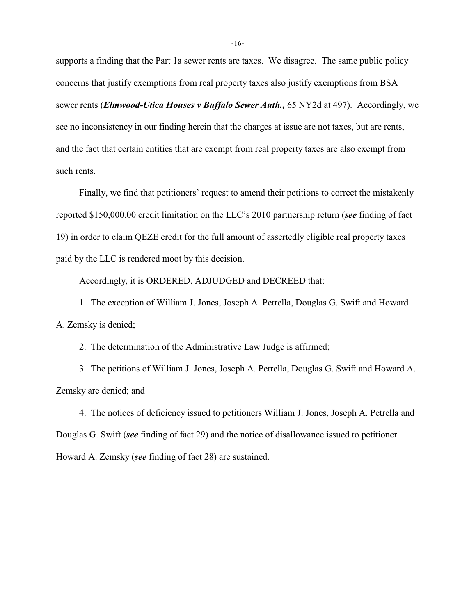supports a finding that the Part 1a sewer rents are taxes. We disagree. The same public policy concerns that justify exemptions from real property taxes also justify exemptions from BSA sewer rents (*Elmwood-Utica Houses v Buffalo Sewer Auth.,* 65 NY2d at 497). Accordingly, we see no inconsistency in our finding herein that the charges at issue are not taxes, but are rents, and the fact that certain entities that are exempt from real property taxes are also exempt from such rents.

Finally, we find that petitioners' request to amend their petitions to correct the mistakenly reported \$150,000.00 credit limitation on the LLC's 2010 partnership return (*see* finding of fact 19) in order to claim QEZE credit for the full amount of assertedly eligible real property taxes paid by the LLC is rendered moot by this decision.

Accordingly, it is ORDERED, ADJUDGED and DECREED that:

1. The exception of William J. Jones, Joseph A. Petrella, Douglas G. Swift and Howard A. Zemsky is denied;

2. The determination of the Administrative Law Judge is affirmed;

3. The petitions of William J. Jones, Joseph A. Petrella, Douglas G. Swift and Howard A. Zemsky are denied; and

4. The notices of deficiency issued to petitioners William J. Jones, Joseph A. Petrella and Douglas G. Swift (*see* finding of fact 29) and the notice of disallowance issued to petitioner Howard A. Zemsky (*see* finding of fact 28) are sustained.